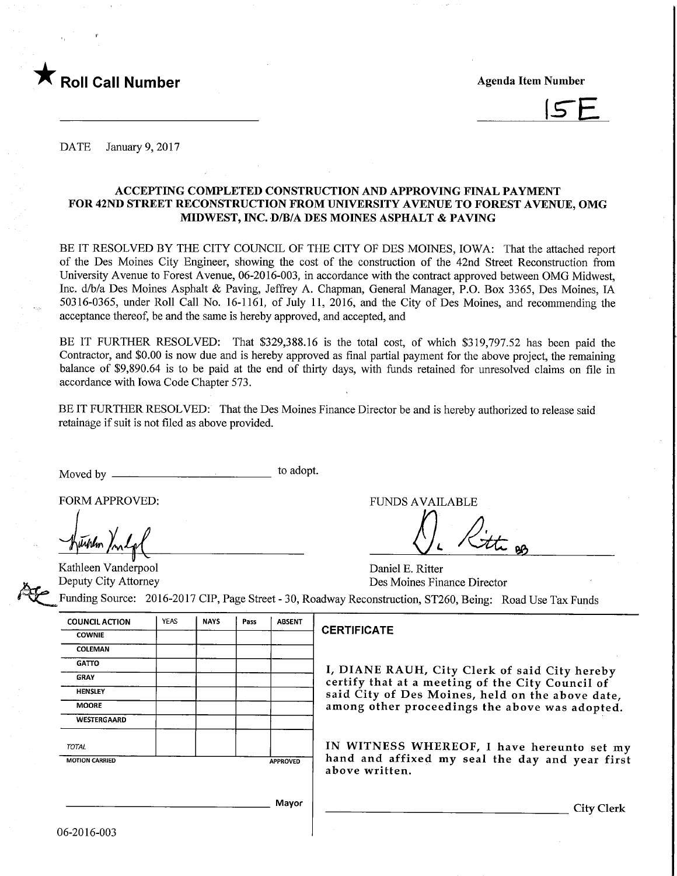



DATE January 9, 2017

# ACCEPTING COMPLETED CONSTRUCTION AND APPROVmG FINAL PAYMENT FOR 42ND STREET RECONSTRUCTION FROM UNIVERSITY AVENUE TO FOREST AVENUE, OMG MIDWEST, INC. D/B/A DES MOINES ASPHALT & PAVING

BE IT RESOLVED BY THE CITY COUNCIL OF THE CITY OF DES MOINES, IOWA: That the attached report of the Des Moines City Engineer, showing the cost of the construction of the 42nd Street Reconstruction from University Avenue to Forest Avenue, 06-2016-003, in accordance with the contract approved between OMG Midwest, Inc. d/b/a Des Moines Asphalt & Paving, Jeffrey A. Chapman, General Manager, P.O. Box 3365, Des Moines, IA 50316-0365, under Roll Call No. 16-1161, of July 11, 2016, and the City of Des Moines, and recommending the acceptance thereof, be and the same is hereby approved, and accepted, and

BE IT FURTHER RESOLVED: That \$329,388.16 is the total cost, of which \$319,797.52 has been paid the Contractor, and \$0.00 is now due and is hereby approved as final partial payment for the above project, the remaining balance of \$9,890.64 is to be paid at the end of thirty days, with funds retained for unresolved claims on file in accordance with Iowa Code Chapter 573.

BE IT FURTHER RESOLVED: That the Des Moines Finance Director be and is hereby authorized to release said retainage if suit is not filed as above provided.

Moved by to adopt.

FORM APPROVED: THE RESERVED OF THE RESERVED OF THE RESERVED OF THE RESERVED OF THE RESERVED OF THE RESERVED OF THE RESERVED OF THE RESERVED OF THE RESERVED OF THE RESERVED OF THE RESERVED OF THE RESERVED OF THE RESERVED OF

uhlm for

Kathleen Vanderpool Daniel E. Ritter<br>
Deputy City Attorney Des Moines Fin

Des Moines Finance Director

Funding Source: 2016-2017 CIP, Page Street - 30, Roadway Reconstruction, ST260, Being: Road Use Tax Funds

| <b>COUNCIL ACTION</b>                    | <b>YEAS</b> | <b>NAYS</b> | Pass | <b>ABSENT</b> |   |
|------------------------------------------|-------------|-------------|------|---------------|---|
| <b>COWNIE</b>                            |             |             |      |               | C |
| COLEMAN                                  |             | ó.          |      |               |   |
| <b>GATTO</b>                             |             |             |      |               |   |
| <b>GRAY</b>                              |             |             |      |               |   |
| <b>HENSLEY</b>                           |             |             |      |               |   |
| <b>MOORE</b>                             |             |             |      |               |   |
| WESTERGAARD                              |             |             |      |               |   |
| <b>TOTAL</b>                             |             |             |      |               |   |
| <b>MOTION CARRIED</b><br><b>APPROVED</b> |             |             |      |               |   |
|                                          |             |             |      |               |   |
|                                          |             |             |      | Mayor         |   |

### **CERTIFICATE**

I, DIANE RAUH, City Clerk of said City hereby certify that at a meeting of the City Council of said City of Des Moines, held on the above date, among other proceedings the above was adopted.

IN WITNESS WHEREOF, I have hereunto set my hand and affixed my seal the day and year first above written.

**City Clerk**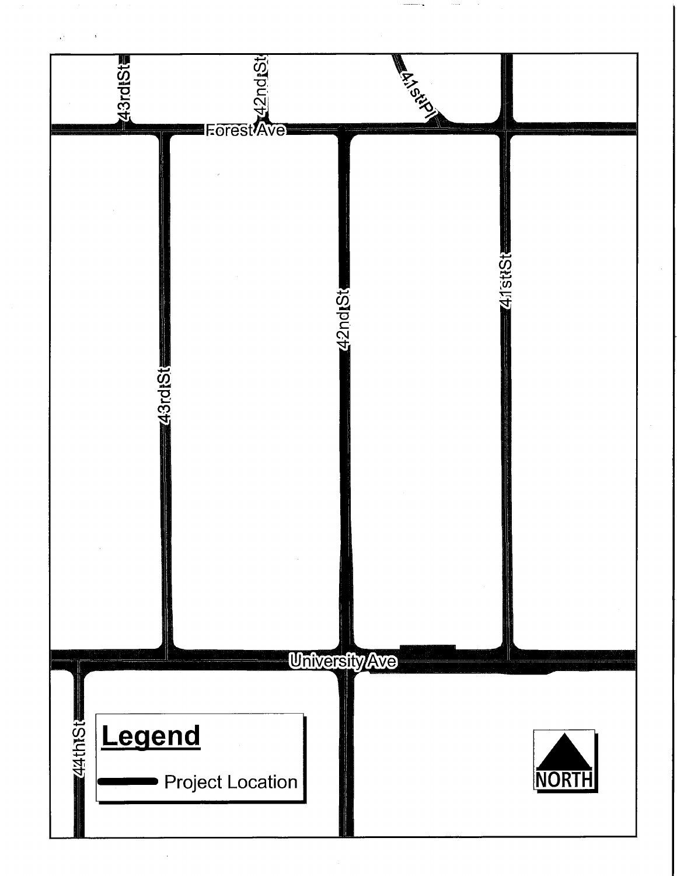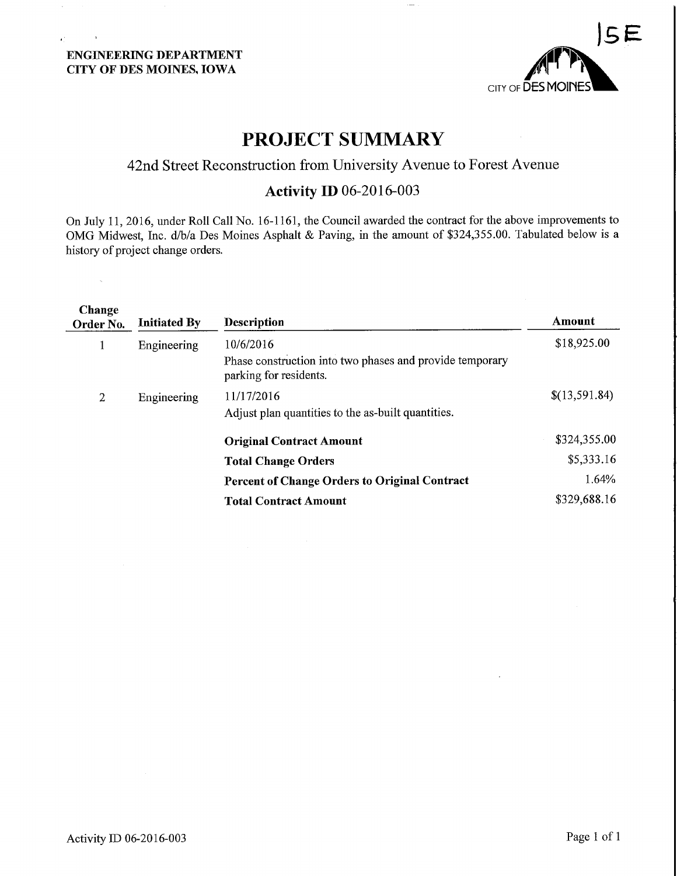$\sim 100$ 



# PROJECT SUMMARY

# 42nd Street Reconstruction from University Avenue to Forest Avenue

# Activity ID 06-2016-003

On July 11, 2016, under Roll Call No. 16-1161, the Council awarded the contract for the above improvements to OMG Midwest, Inc. d/b/a Des Moines Asphalt & Paving, in the amount of \$324,355.00. Tabulated below is a history of project change orders.

| Change<br>Order No. | <b>Initiated By</b> | <b>Description</b>                                                    | Amount        |
|---------------------|---------------------|-----------------------------------------------------------------------|---------------|
| $\mathbf{I}$        | Engineering         | 10/6/2016<br>Phase construction into two phases and provide temporary | \$18,925.00   |
|                     |                     | parking for residents.                                                |               |
| 2                   | Engineering         | 11/17/2016                                                            | \$(13,591.84) |
|                     |                     | Adjust plan quantities to the as-built quantities.                    |               |
|                     |                     | <b>Original Contract Amount</b>                                       | \$324,355.00  |
|                     |                     | <b>Total Change Orders</b>                                            | \$5,333.16    |
|                     |                     | <b>Percent of Change Orders to Original Contract</b>                  | 1.64%         |
|                     |                     | <b>Total Contract Amount</b>                                          | \$329,688.16  |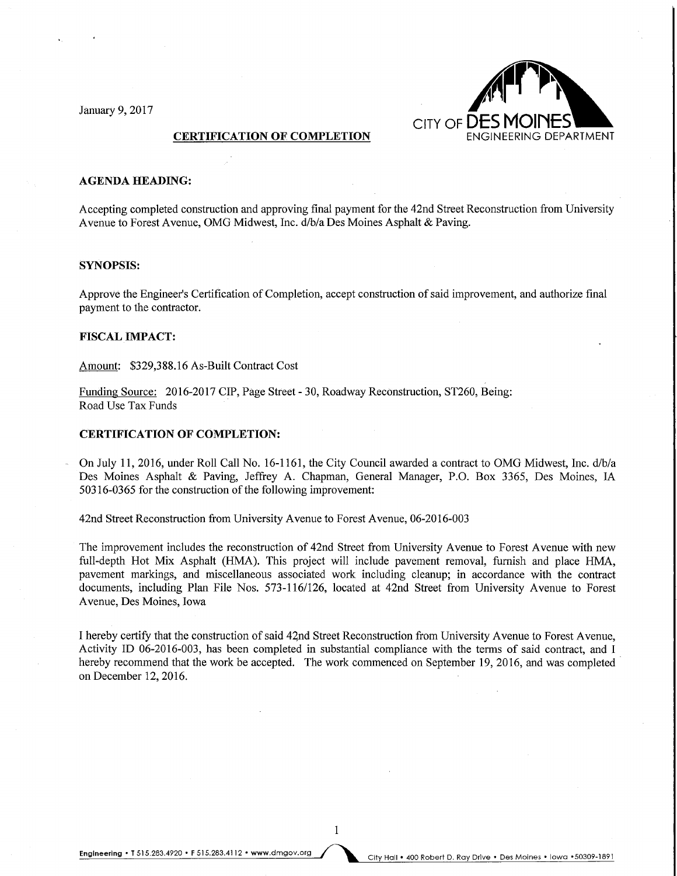January 9, 2017



#### CERTIFICATION OF COMPLETION

#### AGENDA HEADING:

Accepting completed construction and approving final payment for the 42nd Street Reconstruction from University Avenue to Forest Avenue, OMG Midwest, Inc. d/b/a Des Moines Asphalt & Paving.

### SYNOPSIS:

Approve the Engineer's Certification of Completion, accept construction of said improvement, and authorize final payment to the contractor.

#### FISCAL IMPACT:

Amount: \$329,388.16 As-Built Contract Cost

Funding Source: 2016-2017 CIP, Page Street - 30, Roadway Reconstruction, ST260, Being: Road Use Tax Funds

## CERTIFICATION OF COMPLETION:

On July 11, 2016, under Roll Call No. 16-1161, the City Council awarded a contract to OMG Midwest, Inc. d/b/a Des Moines Asphalt & Paving, Jeffrey A. Chapman, General Manager, P.O. Box 3365, Des Moines, IA 50316-0365 for the construction of the following improvement:

42nd Street Reconstruction from University Avenue to Forest Avenue, 06-2016-003

The improvement includes the reconstruction of 42nd Street from University Avenue to Forest Avenue with new full-depth Hot Mix Asphalt (HMA). This project will include pavement removal, furnish and place HMA, pavement markings, and miscellaneous associated work including cleanup; in accordance with the contract documents, including Plan File Nos. 573-116/126, located at 42nd Street from University Avenue to Forest Avenue, Des Moines, Iowa

I hereby certify that the construction of said 42nd Street Reconstruction from University Avenue to Forest Avenue, Activity ID 06-2016-003, has been completed in substantial compliance with the terms of said contract, and I hereby recommend that the work be accepted. The work commenced on September 19, 2016, and was completed on December 12,2016.

 $\mathbf{1}$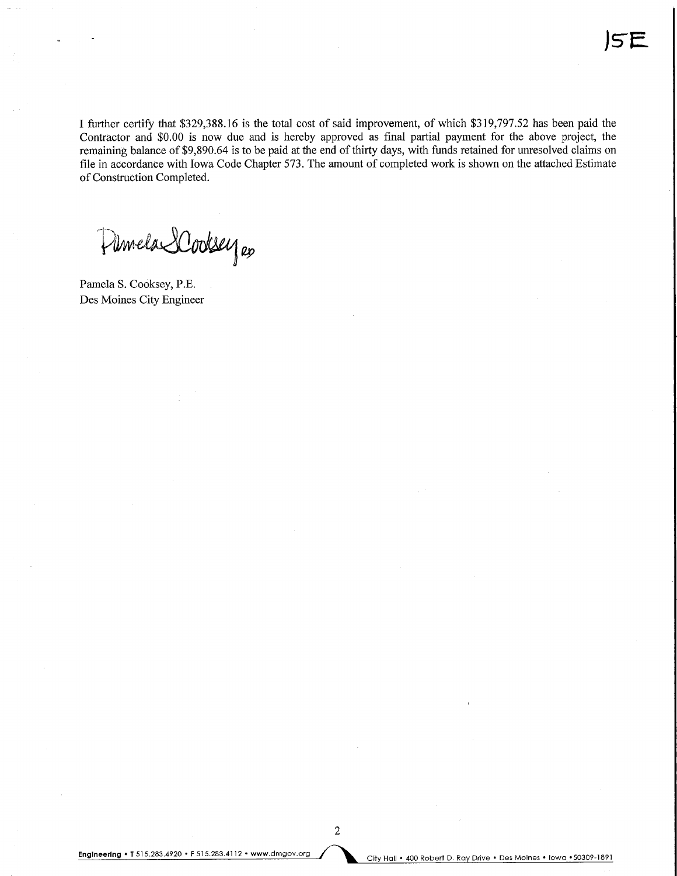I further certify that \$329,388.16 is the total cost of said improvement, of which \$319,797.52 has been paid the Contractor and \$0.00 is now due and is hereby approved as final partial payment for the above project, the remaining balance of \$9,890.64 is to be paid at the end of thirty days, with funds retained for unresolved claims on file in accordance with Iowa Code Chapter 573. The amount of completed work is shown on the attached Estimate of Construction Completed.

Pilmela SCodesey es

Pamela S. Cooksey, P.E. Des Moines City Engineer